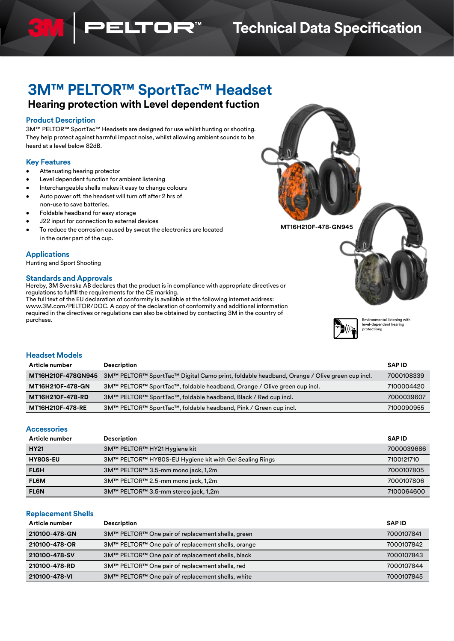## **Technical Data Specification**

# **3M™ PELTOR™ SportTac™ Headset**

TOR"

### **Hearing protection with Level dependent fuction**

#### **Product Description**

3M™ PELTOR™ SportTac™ Headsets are designed for use whilst hunting or shooting. They help protect against harmful impact noise, whilst allowing ambient sounds to be heard at a level below 82dB.

#### **Key Features**

- Attenuating hearing protector
- Level dependent function for ambient listening
- Interchangeable shells makes it easy to change colours
- Auto power off, the headset will turn off after 2 hrs of non-use to save batteries.
- Foldable headband for easy storage
- J22 input for connection to external devices
- To reduce the corrosion caused by sweat the electronics are located in the outer part of the cup.

#### **Applications**

Hunting and Sport Shooting

### **Standards and Approvals**

Hereby, 3M Svenska AB declares that the product is in compliance with appropriate directives or regulations to fulfill the requirements for the CE marking.

The full text of the EU declaration of conformity is available at the following internet address: www.3M.com/PELTOR/DOC. A copy of the declaration of conformity and additional information required in the directives or regulations can also be obtained by contacting 3M in the country of purchase.





Environmental listening with level-dependent hearing protectiong

#### **Headset Models**

| Article number          | <b>Description</b>                                                                          | <b>SAPID</b> |
|-------------------------|---------------------------------------------------------------------------------------------|--------------|
| MT16H210F-478GN945      | 3M™ PELTOR™ SportTac™ Digital Camo print, foldable headband, Orange / Olive green cup incl. | 7000108339   |
| <b>MT16H210F-478-GN</b> | 3M™ PELTOR™ SportTac™, foldable headband, Orange / Olive green cup incl.                    | 7100004420   |
| <b>MT16H210F-478-RD</b> | 3M™ PELTOR™ SportTac™, foldable headband, Black / Red cup incl.                             | 7000039607   |
| <b>MT16H210F-478-RE</b> | 3M™ PELTOR™ SportTac™, foldable headband, Pink / Green cup incl.                            | 7100090955   |

#### **Accessories**

| Article number  | <b>Description</b>                                      | <b>SAPID</b> |
|-----------------|---------------------------------------------------------|--------------|
| <b>HY21</b>     | 3M™ PELTOR™ HY21 Hygiene kit                            | 7000039686   |
| <b>HY8OS-EU</b> | 3M™ PELTOR™ HY80S-EU Hygiene kit with Gel Sealing Rings | 7100121710   |
| <b>FL6H</b>     | 3M™ PELTOR™ 3.5-mm mono jack, 1,2m                      | 7000107805   |
| FL6M            | 3M™ PELTOR™ 2.5-mm mono jack, 1,2m                      | 7000107806   |
| <b>FL6N</b>     | 3M™ PELTOR™ 3.5-mm stereo jack, 1,2m                    | 7100064600   |

#### **Replacement Shells**

| Article number                                                   | <b>Description</b>                                 | <b>SAPID</b> |
|------------------------------------------------------------------|----------------------------------------------------|--------------|
| 210100-478-GN                                                    | 3M™ PELTOR™ One pair of replacement shells, green  |              |
| 210100-478-OR                                                    | 3M™ PELTOR™ One pair of replacement shells, orange | 7000107842   |
| 210100-478-SV                                                    | 3M™ PELTOR™ One pair of replacement shells, black  | 7000107843   |
| 3M™ PELTOR™ One pair of replacement shells, red<br>210100-478-RD |                                                    | 7000107844   |
| 210100-478-VI                                                    | 3M™ PELTOR™ One pair of replacement shells, white  | 7000107845   |